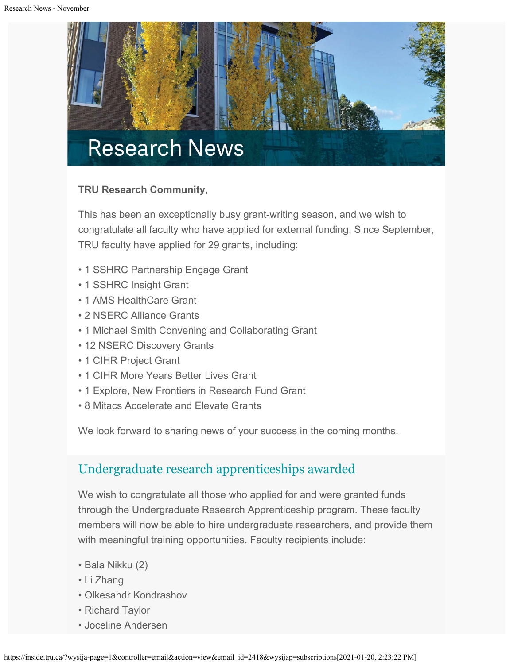

### **TRU Research Community,**

This has been an exceptionally busy grant-writing season, and we wish to congratulate all faculty who have applied for external funding. Since September, TRU faculty have applied for 29 grants, including:

- 1 SSHRC Partnership Engage Grant
- 1 SSHRC Insight Grant
- 1 AMS HealthCare Grant
- 2 NSERC Alliance Grants
- 1 Michael Smith Convening and Collaborating Grant
- 12 NSERC Discovery Grants
- 1 CIHR Project Grant
- 1 CIHR More Years Better Lives Grant
- 1 Explore, New Frontiers in Research Fund Grant
- 8 Mitacs Accelerate and Elevate Grants

We look forward to sharing news of your success in the coming months.

# [Undergraduate research apprenticeships awarded](https://www.tru.ca/research/research-services/research-services-faculty/faculty-research-funding/internal-opportunities.html)

We wish to congratulate all those who applied for and were granted funds through the Undergraduate Research Apprenticeship program. These faculty members will now be able to hire undergraduate researchers, and provide them with meaningful training opportunities. Faculty recipients include:

- Bala Nikku (2)
- Li Zhang
- Olkesandr Kondrashov
- Richard Taylor
- Joceline Andersen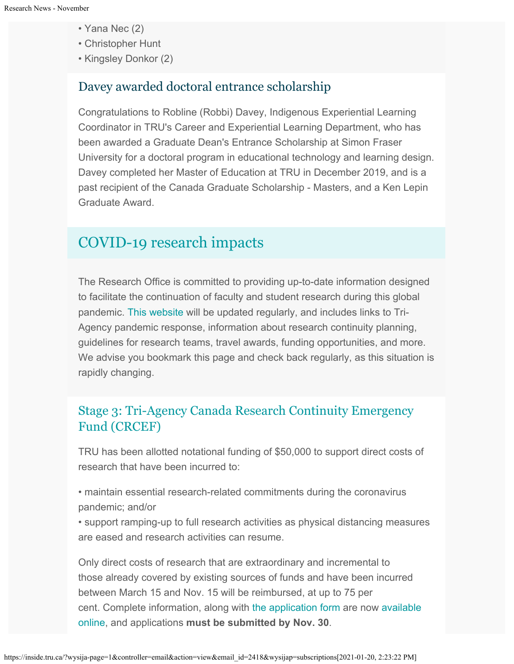- Yana Nec (2)
- Christopher Hunt
- Kingsley Donkor (2)

## Davey awarded doctoral entrance scholarship

Congratulations to Robline (Robbi) Davey, Indigenous Experiential Learning Coordinator in TRU's Career and Experiential Learning Department, who has been awarded a Graduate Dean's Entrance Scholarship at Simon Fraser University for a doctoral program in educational technology and learning design. Davey completed her Master of Education at TRU in December 2019, and is a past recipient of the Canada Graduate Scholarship - Masters, and a Ken Lepin Graduate Award.

# [COVID-19 research impacts](https://www.tru.ca/research/covid-19-research-impacts.html)

The Research Office is committed to providing up-to-date information designed to facilitate the continuation of faculty and student research during this global pandemic. [This website](https://www.tru.ca/research/covid-19-research-impacts.html) will be updated regularly, and includes links to Tri-Agency pandemic response, information about research continuity planning, guidelines for research teams, travel awards, funding opportunities, and more. We advise you bookmark this page and check back regularly, as this situation is rapidly changing.

## [Stage 3: Tri-Agency Canada Research Continuity Emergency](https://tru.ca/research/covid-19-research-impacts.html) [Fund \(CRCEF\)](https://tru.ca/research/covid-19-research-impacts.html)

TRU has been allotted notational funding of \$50,000 to support direct costs of research that have been incurred to:

- maintain essential research-related commitments during the coronavirus pandemic; and/or
- support ramping-up to full research activities as physical distancing measures are eased and research activities can resume.

Only direct costs of research that are extraordinary and incremental to those already covered by existing sources of funds and have been incurred between March 15 and Nov. 15 will be reimbursed, at up to 75 per cent. Complete information, along with [the application form](https://tru.ca/__shared/assets/CRCEF_Application52633.pdf) are now [available](https://tru.ca/research/covid-19-research-impacts.html) [online](https://tru.ca/research/covid-19-research-impacts.html), and applications **must be submitted by Nov. 30**.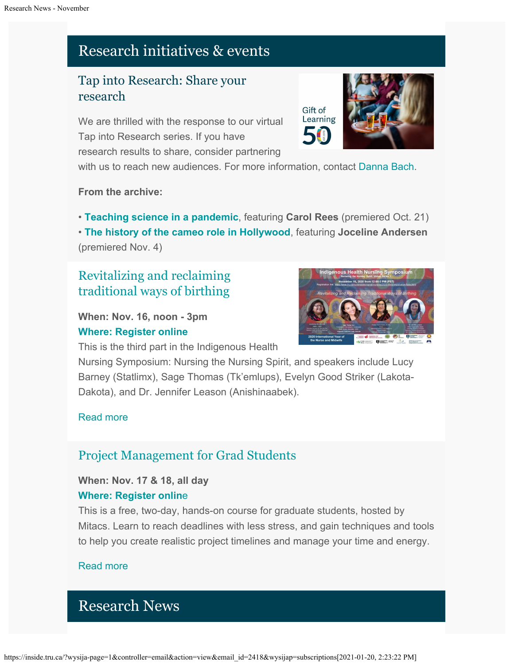# Research initiatives & events

# Tap into Research: Share your research

We are thrilled with the response to our virtual Tap into Research series. If you have research results to share, consider partnering



with us to reach new audiences. For more information, contact [Danna Bach](mailto:dbach@tru.ca).

### **From the archive:**

• **[Teaching science in a pandemic](https://youtu.be/orEeJct1fuI)**, featuring **Carol Rees** (premiered Oct. 21) • **[The history of the cameo role in Hollywood](https://youtu.be/Rtm_btISYkE)**, featuring **Joceline Andersen** (premiered Nov. 4)

# [Revitalizing and reclaiming](http://inside.tru.ca/events/event/revitalizing-and-reclaiming-traditional-ways-of-birthing/) [traditional ways of birthing](http://inside.tru.ca/events/event/revitalizing-and-reclaiming-traditional-ways-of-birthing/)

**When: Nov. 16, noon - 3pm [Where: Register online](https://www.tru.ca/nursing/aboriginal-nursing/2020-ihnrs/registration-form.html)**



This is the third part in the Indigenous Health

Nursing Symposium: Nursing the Nursing Spirit, and speakers include Lucy Barney (Statlimx), Sage Thomas (Tk'emlups), Evelyn Good Striker (Lakota-Dakota), and Dr. Jennifer Leason (Anishinaabek).

### [Read more](http://inside.tru.ca/events/event/revitalizing-and-reclaiming-traditional-ways-of-birthing/)

# [Project Management for Grad Students](http://inside.tru.ca/events/event/project-management-for-grad-students-3/)

**When: Nov. 17 & 18, all day [Where: Register onlin](https://www.mitacs.ca/en/programs/training/training-workshops)**[e](https://www.mitacs.ca/en/programs/training/training-workshops)

This is a free, two-day, hands-on course for graduate students, hosted by Mitacs. Learn to reach deadlines with less stress, and gain techniques and tools to help you create realistic project timelines and manage your time and energy.

### [Read more](http://inside.tru.ca/events/event/project-management-for-grad-students-3/)

# Research News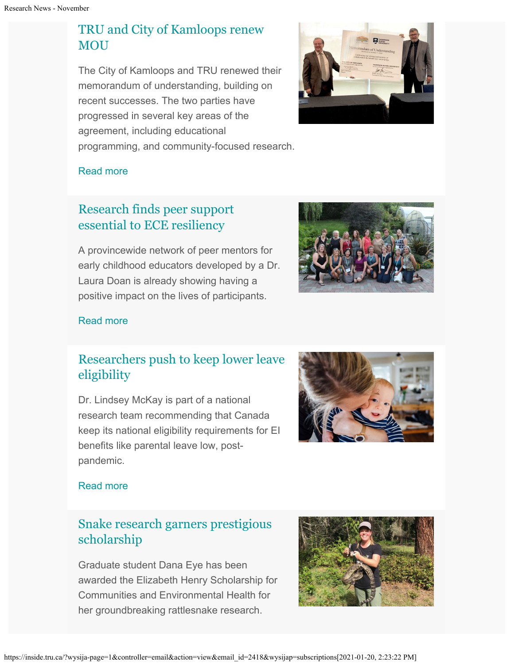# [TRU and City of Kamloops renew](http://inside.tru.ca/2020/10/07/tru-and-city-of-kamloops-renew-mou/) [MOU](http://inside.tru.ca/2020/10/07/tru-and-city-of-kamloops-renew-mou/)

The City of Kamloops and TRU renewed their memorandum of understanding, building on recent successes. The two parties have progressed in several key areas of the agreement, including educational programming, and community-focused research.



### [Read more](http://inside.tru.ca/2020/10/07/tru-and-city-of-kamloops-renew-mou/)

# [Research finds peer support](http://inside.tru.ca/2020/10/26/research-finds-peer-support-essential-to-ece-resiliency/) [essential to ECE resiliency](http://inside.tru.ca/2020/10/26/research-finds-peer-support-essential-to-ece-resiliency/)

A provincewide network of peer mentors for early childhood educators developed by a Dr. Laura Doan is already showing having a positive impact on the lives of participants.



### [Read more](http://inside.tru.ca/2020/10/26/research-finds-peer-support-essential-to-ece-resiliency/)

# [Researchers push to keep lower leave](http://inside.tru.ca/2020/11/02/researchers-recommend-maintaining-lower-parental-leave-eligibility-requirements/) [eligibility](http://inside.tru.ca/2020/11/02/researchers-recommend-maintaining-lower-parental-leave-eligibility-requirements/)

Dr. Lindsey McKay is part of a national research team recommending that Canada keep its national eligibility requirements for EI benefits like parental leave low, postpandemic.



### [Read more](http://inside.tru.ca/2020/11/02/researchers-recommend-maintaining-lower-parental-leave-eligibility-requirements/)

# [Snake research garners prestigious](http://inside.tru.ca/2020/11/06/snake-research-garners-prestigious-scholarship/) [scholarship](http://inside.tru.ca/2020/11/06/snake-research-garners-prestigious-scholarship/)

Graduate student Dana Eye has been awarded the Elizabeth Henry Scholarship for Communities and Environmental Health for her groundbreaking rattlesnake research.

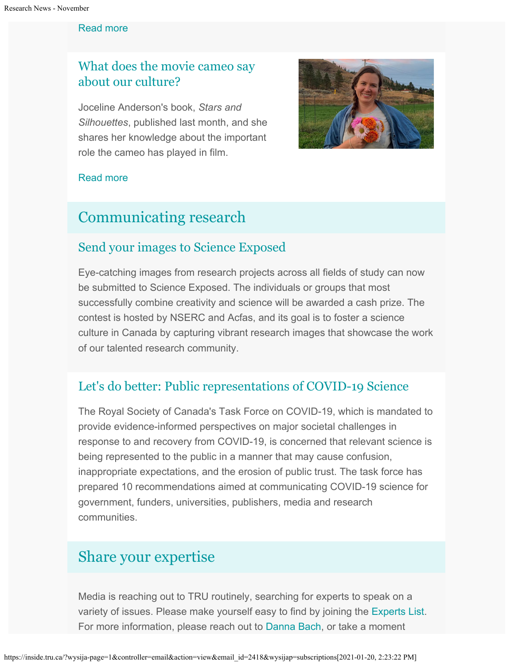#### [Read more](http://inside.tru.ca/2020/11/06/snake-research-garners-prestigious-scholarship/)

# [What does the movie cameo say](http://inside.tru.ca/2020/11/03/what-does-the-movie-cameo-say-about-our-culture/) [about our culture?](http://inside.tru.ca/2020/11/03/what-does-the-movie-cameo-say-about-our-culture/)

Joceline Anderson's book, *Stars and Silhouettes*, published last month, and she shares her knowledge about the important role the cameo has played in film.



#### [Read more](http://inside.tru.ca/2020/11/03/what-does-the-movie-cameo-say-about-our-culture/)

# [Communicating research](https://inside.tru.ca/tru.ca/experts)

## [Send your images to Science Exposed](https://www.nserc-crsng.gc.ca/ScienceExposed-PreuveParLimage/how_do_i_win-comment_gagner_eng.asp)

Eye-catching images from research projects across all fields of study can now be submitted to Science Exposed. The individuals or groups that most successfully combine creativity and science will be awarded a cash prize. The contest is hosted by NSERC and Acfas, and its goal is to foster a science culture in Canada by capturing vibrant research images that showcase the work of our talented research community.

## [Let's do better: Public representations of COVID-19 Science](https://rsc-src.ca/en/research-and-reports/let’s-do-better-public-representations-covid-19-science)

The Royal Society of Canada's Task Force on COVID-19, which is mandated to provide evidence-informed perspectives on major societal challenges in response to and recovery from COVID-19, is concerned that relevant science is being represented to the public in a manner that may cause confusion, inappropriate expectations, and the erosion of public trust. The task force has prepared 10 recommendations aimed at communicating COVID-19 science for government, funders, universities, publishers, media and research communities.

# [Share your expertise](https://inside.tru.ca/tru.ca/experts)

Media is reaching out to TRU routinely, searching for experts to speak on a variety of issues. Please make yourself easy to find by joining the [Experts List](https://inside.tru.ca/tru.ca/experts). For more information, please reach out to [Danna Bach](mailto:dbach@tru.ca), or take a moment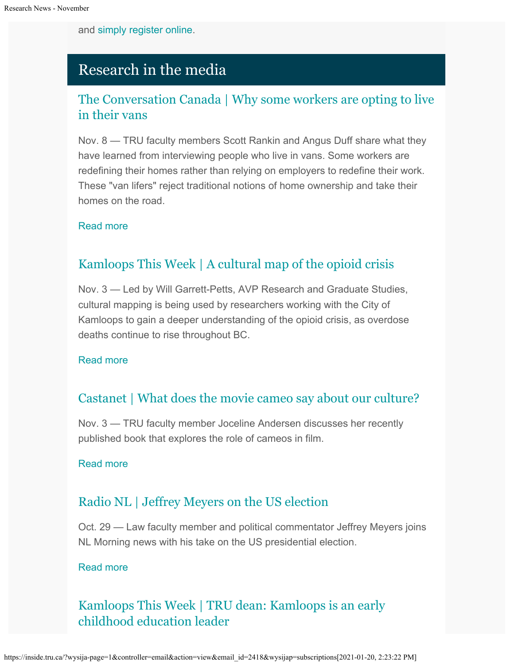and [simply register online.](https://inside.tru.ca/find-an-expert/experts-registration-update/)

# Research in the media

# [The Conversation Canada | Why some workers are opting to live](http://inside.tru.ca/inthemedia/the-conversation-canada-why-some-workers-are-opting-to-live-in-their-vans/) [in their vans](http://inside.tru.ca/inthemedia/the-conversation-canada-why-some-workers-are-opting-to-live-in-their-vans/)

Nov. 8 — TRU faculty members Scott Rankin and Angus Duff share what they have learned from interviewing people who live in vans. Some workers are redefining their homes rather than relying on employers to redefine their work. These "van lifers" reject traditional notions of home ownership and take their homes on the road.

### [Read more](http://inside.tru.ca/inthemedia/the-conversation-canada-why-some-workers-are-opting-to-live-in-their-vans/)

# [Kamloops This Week | A cultural map of the opioid crisis](http://inside.tru.ca/inthemedia/kamloops-this-week-a-cultural-map-of-the-opioid-crisis/)

Nov. 3 — Led by Will Garrett-Petts, AVP Research and Graduate Studies, cultural mapping is being used by researchers working with the City of Kamloops to gain a deeper understanding of the opioid crisis, as overdose deaths continue to rise throughout BC.

### [Read more](http://inside.tru.ca/inthemedia/kamloops-this-week-a-cultural-map-of-the-opioid-crisis/)

## [Castanet | What does the movie cameo say about our culture?](http://inside.tru.ca/inthemedia/castanet-what-does-the-movie-cameo-say-about-our-culture/)

Nov. 3 — TRU faculty member Joceline Andersen discusses her recently published book that explores the role of cameos in film.

### [Read more](http://inside.tru.ca/inthemedia/castanet-what-does-the-movie-cameo-say-about-our-culture/)

## [Radio NL | Jeffrey Meyers on the US election](http://inside.tru.ca/inthemedia/radio-nl-jeffrey-meyers-on-the-us-election/)

Oct. 29 — Law faculty member and political commentator Jeffrey Meyers joins NL Morning news with his take on the US presidential election.

### [Read more](http://inside.tru.ca/inthemedia/radio-nl-jeffrey-meyers-on-the-us-election/)

# [Kamloops This Week | TRU dean: Kamloops is an early](http://inside.tru.ca/inthemedia/kamloops-this-week-tru-dean-kamloops-is-an-early-childhood-education-leader/) [childhood education leader](http://inside.tru.ca/inthemedia/kamloops-this-week-tru-dean-kamloops-is-an-early-childhood-education-leader/)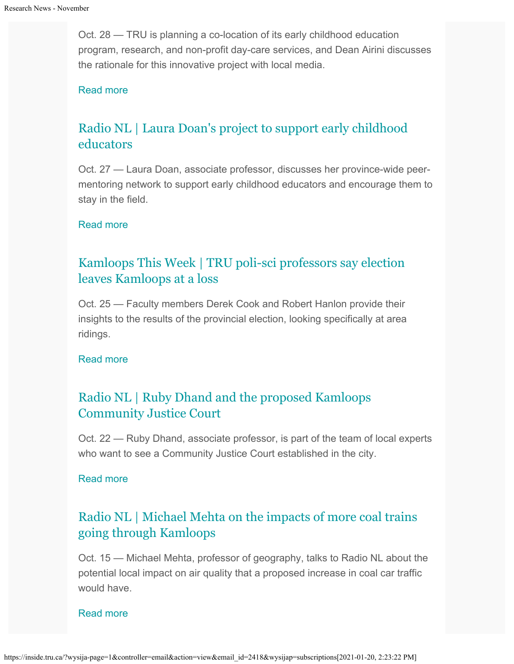Oct. 28 — TRU is planning a co-location of its early childhood education program, research, and non-profit day-care services, and Dean Airini discusses the rationale for this innovative project with local media.

#### [Read more](http://inside.tru.ca/inthemedia/kamloops-this-week-tru-dean-kamloops-is-an-early-childhood-education-leader/)

# [Radio NL | Laura Doan's project to support early childhood](http://inside.tru.ca/inthemedia/radio-nl-laura-doans-project-to-support-early-childhood-educators/) [educators](http://inside.tru.ca/inthemedia/radio-nl-laura-doans-project-to-support-early-childhood-educators/)

Oct. 27 — Laura Doan, associate professor, discusses her province-wide peermentoring network to support early childhood educators and encourage them to stay in the field.

#### [Read more](http://inside.tru.ca/inthemedia/radio-nl-laura-doans-project-to-support-early-childhood-educators/)

# [Kamloops This Week | TRU poli-sci professors say election](http://inside.tru.ca/inthemedia/kamloops-this-week-fdf/) [leaves Kamloops at a loss](http://inside.tru.ca/inthemedia/kamloops-this-week-fdf/)

Oct. 25 — Faculty members Derek Cook and Robert Hanlon provide their insights to the results of the provincial election, looking specifically at area ridings.

#### [Read more](http://inside.tru.ca/inthemedia/kamloops-this-week-fdf/)

## [Radio NL | Ruby Dhand and the proposed Kamloops](http://inside.tru.ca/inthemedia/radio-nl-ruby-dhand-and-the-proposed-kamloops-community-justice-court/) [Community Justice Court](http://inside.tru.ca/inthemedia/radio-nl-ruby-dhand-and-the-proposed-kamloops-community-justice-court/)

Oct. 22 — Ruby Dhand, associate professor, is part of the team of local experts who want to see a Community Justice Court established in the city.

#### [Read more](http://inside.tru.ca/inthemedia/radio-nl-ruby-dhand-and-the-proposed-kamloops-community-justice-court/)

## [Radio NL | Michael Mehta on the impacts of more coal trains](http://inside.tru.ca/inthemedia/radio-nl-michael-mehta-on-the-impacts-of-more-coal-trains-going-through-kamloops/) [going through Kamloops](http://inside.tru.ca/inthemedia/radio-nl-michael-mehta-on-the-impacts-of-more-coal-trains-going-through-kamloops/)

Oct. 15 — Michael Mehta, professor of geography, talks to Radio NL about the potential local impact on air quality that a proposed increase in coal car traffic would have.

#### [Read more](http://inside.tru.ca/inthemedia/radio-nl-michael-mehta-on-the-impacts-of-more-coal-trains-going-through-kamloops/)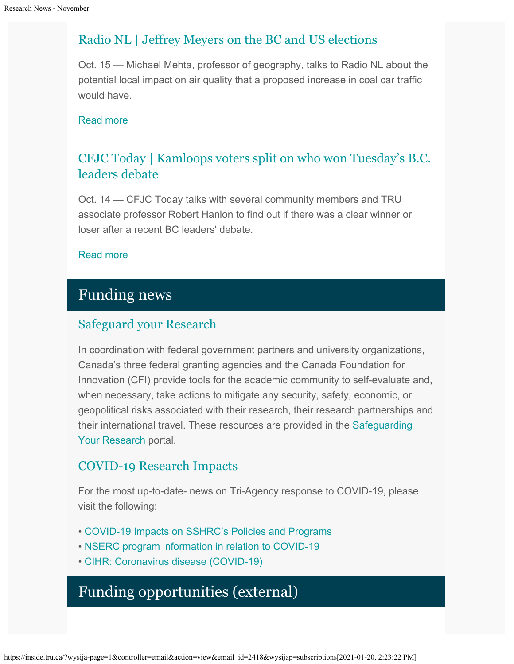# [Radio NL | Jeffrey Meyers on the BC and US elections](http://inside.tru.ca/inthemedia/radio-nl-jeffrey-meyers-on-the-bc-and-us-elections/)

Oct. 15 — Michael Mehta, professor of geography, talks to Radio NL about the potential local impact on air quality that a proposed increase in coal car traffic would have.

### [Read more](http://inside.tru.ca/inthemedia/radio-nl-jeffrey-meyers-on-the-bc-and-us-elections/)

# [CFJC Today | Kamloops voters split on who won Tuesday's B.C.](http://inside.tru.ca/inthemedia/cfjc-today-kamloops-voters-split-on-who-won-tuesdays-b-c-leaders-debate/) [leaders debate](http://inside.tru.ca/inthemedia/cfjc-today-kamloops-voters-split-on-who-won-tuesdays-b-c-leaders-debate/)

Oct. 14 — CFJC Today talks with several community members and TRU associate professor Robert Hanlon to find out if there was a clear winner or loser after a recent BC leaders' debate.

### [Read more](http://inside.tru.ca/inthemedia/cfjc-today-kamloops-voters-split-on-who-won-tuesdays-b-c-leaders-debate/)

# Funding news

# [Safeguard your Research](https://cihr-irsc.gc.ca/e/52135.html)

In coordination with federal government partners and university organizations, Canada's three federal granting agencies and the Canada Foundation for Innovation (CFI) provide tools for the academic community to self-evaluate and, when necessary, take actions to mitigate any security, safety, economic, or geopolitical risks associated with their research, their research partnerships and their international travel. These resources are provided in the [Safeguarding](http://www.science.gc.ca/safeguarding-your-research/) [Your Research](http://www.science.gc.ca/safeguarding-your-research/) portal.

## [COVID-19 Research Impacts](https://tru.ca/research/covid-19-research-impacts.html)

For the most up-to-date- news on Tri-Agency response to COVID-19, please visit the following:

- [COVID-19 Impacts on SSHRC's Policies and Programs](https://www.sshrc-crsh.gc.ca/news_room-salle_de_presse/covid-19-eng.aspx)
- [NSERC program information in relation to COVID-19](https://www.nserc-crsng.gc.ca/Media-Media/NewsRelease-CommuniqueDePresse_eng.asp?ID=1139)
- [CIHR: Coronavirus disease \(COVID-19\)](https://cihr-irsc.gc.ca/e/51917.html)

# Funding opportunities (external)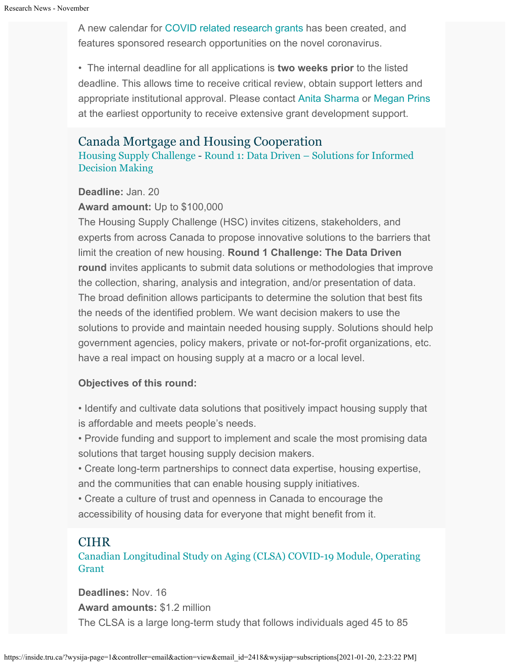A new calendar for [COVID related research grants](https://www.tru.ca/research/research-services/research-services-faculty/faculty-research-funding/funding-deadlines.html) has been created, and features sponsored research opportunities on the novel coronavirus.

• The internal deadline for all applications is **two weeks prior** to the listed deadline. This allows time to receive critical review, obtain support letters and appropriate institutional approval. Please contact [Anita Sharma](mailto:ansharma@tru.ca) or [Megan Prins](mailto:mprins@tru.ca) at the earliest opportunity to receive extensive grant development support.

### Canada Mortgage and Housing Cooperation

[Housing Supply Challenge](https://impact.canada.ca/en/challenges/housing-supply-challenge) - [Round 1: Data Driven – Solutions for Informed](https://impact.canada.ca/en/challenges/housing-supply-challenge/process) [Decision Making](https://impact.canada.ca/en/challenges/housing-supply-challenge/process)

#### **Deadline:** Jan. 20

#### **Award amount:** Up to \$100,000

The Housing Supply Challenge (HSC) invites citizens, stakeholders, and experts from across Canada to propose innovative solutions to the barriers that limit the creation of new housing. **Round 1 Challenge: The Data Driven round** invites applicants to submit data solutions or methodologies that improve the collection, sharing, analysis and integration, and/or presentation of data. The broad definition allows participants to determine the solution that best fits the needs of the identified problem. We want decision makers to use the solutions to provide and maintain needed housing supply. Solutions should help government agencies, policy makers, private or not-for-profit organizations, etc. have a real impact on housing supply at a macro or a local level.

### **Objectives of this round:**

• Identify and cultivate data solutions that positively impact housing supply that is affordable and meets people's needs.

• Provide funding and support to implement and scale the most promising data solutions that target housing supply decision makers.

• Create long-term partnerships to connect data expertise, housing expertise, and the communities that can enable housing supply initiatives.

• Create a culture of trust and openness in Canada to encourage the accessibility of housing data for everyone that might benefit from it.

### CIHR

[Canadian Longitudinal Study on Aging \(CLSA\) COVID-19 Module, Operating](https://www.researchnet-recherchenet.ca/rnr16/vwOpprtntyDtls.do?prog=3387&view=currentOpps&org=CIHR&type=EXACT&resultCount=25&sort=program&all=1&masterList=true) **[Grant](https://www.researchnet-recherchenet.ca/rnr16/vwOpprtntyDtls.do?prog=3387&view=currentOpps&org=CIHR&type=EXACT&resultCount=25&sort=program&all=1&masterList=true)** 

**Deadlines:** Nov. 16 **Award amounts:** \$1.2 million The CLSA is a large long-term study that follows individuals aged 45 to 85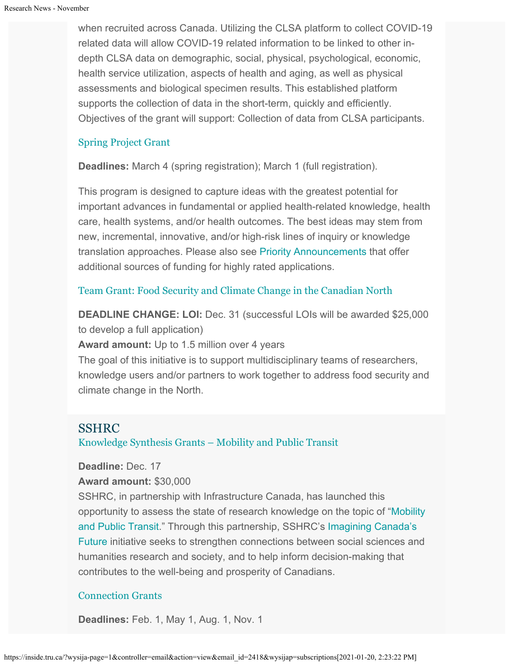when recruited across Canada. Utilizing the CLSA platform to collect COVID-19 related data will allow COVID-19 related information to be linked to other indepth CLSA data on demographic, social, physical, psychological, economic, health service utilization, aspects of health and aging, as well as physical assessments and biological specimen results. This established platform supports the collection of data in the short-term, quickly and efficiently. Objectives of the grant will support: Collection of data from CLSA participants.

### [Spring Project Grant](https://cihr-irsc.gc.ca/e/51996.html)

**Deadlines:** March 4 (spring registration); March 1 (full registration).

This program is designed to capture ideas with the greatest potential for important advances in fundamental or applied health-related knowledge, health care, health systems, and/or health outcomes. The best ideas may stem from new, incremental, innovative, and/or high-risk lines of inquiry or knowledge translation approaches. Please also see [Priority Announcements](https://www.researchnet-recherchenet.ca/rnr16/viewOpportunityDetails.do?progCd=11078&language=E&org=CIHR) that offer additional sources of funding for highly rated applications.

### [Team Grant: Food Security and Climate Change in the Canadian North](https://www.researchnet-recherchenet.ca/rnr16/vwOpprtntyDtls.do?prog=3269&view=search&launchMonth=2&launchYear=2020&type=EXACT&resultCount=25&next=1)

**DEADLINE CHANGE: LOI:** Dec. 31 (successful LOIs will be awarded \$25,000 to develop a full application)

**Award amount:** Up to 1.5 million over 4 years

The goal of this initiative is to support multidisciplinary teams of researchers, knowledge users and/or partners to work together to address food security and climate change in the North.

### SSHRC

[Knowledge Synthesis Grants – Mobility and Public Transit](https://www.sshrc-crsh.gc.ca/funding-financement/programs-programmes/ksg_public_transit-ssc_transport_commun-eng.aspx)

### **Deadline:** Dec. 17

#### **Award amount:** \$30,000

SSHRC, in partnership with Infrastructure Canada, has launched this opportunity to assess the state of research knowledge on the topic of ["Mobility](https://www.sshrc-crsh.gc.ca/funding-financement/programs-programmes/ksg_public_transit-ssc_transport_commun-eng.aspx) [and Public Transit](https://www.sshrc-crsh.gc.ca/funding-financement/programs-programmes/ksg_public_transit-ssc_transport_commun-eng.aspx)." Through this partnership, SSHRC's [Imagining Canada's](https://www.sshrc-crsh.gc.ca/society-societe/community-communite/Imagining_Canadas_Future-Imaginer_l_avenir_du_Canada-eng.aspx) [Future](https://www.sshrc-crsh.gc.ca/society-societe/community-communite/Imagining_Canadas_Future-Imaginer_l_avenir_du_Canada-eng.aspx) initiative seeks to strengthen connections between social sciences and humanities research and society, and to help inform decision-making that contributes to the well-being and prosperity of Canadians.

### [Connection Grants](http://www.sshrc-crsh.gc.ca/funding-financement/programs-programmes/connection_grants-subventions_connexion-eng.aspx)

**Deadlines:** Feb. 1, May 1, Aug. 1, Nov. 1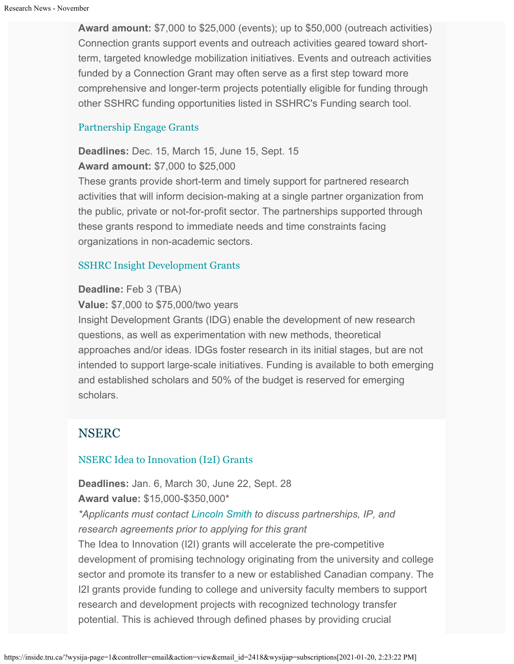**Award amount:** \$7,000 to \$25,000 (events); up to \$50,000 (outreach activities) Connection grants support events and outreach activities geared toward shortterm, targeted knowledge mobilization initiatives. Events and outreach activities funded by a Connection Grant may often serve as a first step toward more comprehensive and longer-term projects potentially eligible for funding through other SSHRC funding opportunities listed in SSHRC's Funding search tool.

### [Partnership Engage Grants](http://www.sshrc-crsh.gc.ca/funding-financement/programs-programmes/partnership_engage_grants-subventions_d_engagement_partenarial-eng.aspx)

**Deadlines:** Dec. 15, March 15, June 15, Sept. 15 **Award amount:** \$7,000 to \$25,000

These grants provide short-term and timely support for partnered research activities that will inform decision-making at a single partner organization from the public, private or not-for-profit sector. The partnerships supported through these grants respond to immediate needs and time constraints facing organizations in non-academic sectors.

#### [SSHRC Insight Development Grants](http://www.sshrc-crsh.gc.ca/funding-financement/programs-programmes/insight_development_grants-subventions_de_developpement_savoir-eng.aspx)

#### **Deadline:** Feb 3 (TBA)

**Value:** \$7,000 to \$75,000/two years

Insight Development Grants (IDG) enable the development of new research questions, as well as experimentation with new methods, theoretical approaches and/or ideas. IDGs foster research in its initial stages, but are not intended to support large-scale initiatives. Funding is available to both emerging and established scholars and 50% of the budget is reserved for emerging scholars.

### NSERC

#### [NSERC Idea to Innovation \(I2I\) Grants](https://www.nserc-crsng.gc.ca/Professors-Professeurs/RPP-PP/I2I-Innov_eng.asp)

**Deadlines:** Jan. 6, March 30, June 22, Sept. 28 **Award value:** \$15,000-\$350,000\*

*\*Applicants must contact [Lincoln Smith](mailto:lsmith@tru.ca) to discuss partnerships, IP, and research agreements prior to applying for this grant*

The Idea to Innovation (I2I) grants will accelerate the pre-competitive development of promising technology originating from the university and college sector and promote its transfer to a new or established Canadian company. The I2I grants provide funding to college and university faculty members to support research and development projects with recognized technology transfer potential. This is achieved through defined phases by providing crucial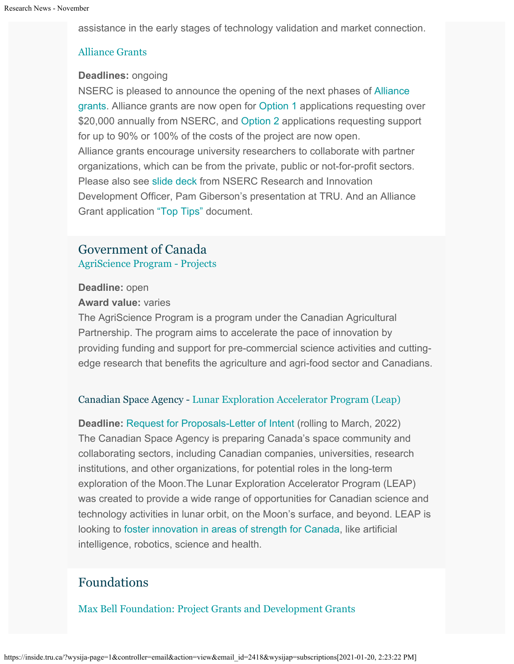assistance in the early stages of technology validation and market connection.

### [Alliance Grants](https://www.nserc-crsng.gc.ca/Innovate-Innover/alliance-alliance/index_eng.asp)

#### **Deadlines:** ongoing

NSERC is pleased to announce the opening of the next phases of [Alliance](https://www.nserc-crsng.gc.ca/Innovate-Innover/alliance-alliance/index_eng.asp) [grants](https://www.nserc-crsng.gc.ca/Innovate-Innover/alliance-alliance/index_eng.asp). Alliance grants are now open for [Option 1](https://www.nserc-crsng.gc.ca/Innovate-Innover/alliance-alliance/funding-financement_eng.asp#option1) applications requesting over \$20,000 annually from NSERC, and [Option 2](https://www.nserc-crsng.gc.ca/Innovate-Innover/alliance-alliance/index_eng.asp) applications requesting support for up to 90% or 100% of the costs of the project are now open. Alliance grants encourage university researchers to collaborate with partner organizations, which can be from the private, public or not-for-profit sectors. Please also see [slide deck](https://one.tru.ca/sites/rgs/ToolsandResources/_layouts/15/WopiFrame.aspx?sourcedoc=/sites/rgs/ToolsandResources/Shared%20Documents/NSERC_ALLIANCE.pptx&action=default) from NSERC Research and Innovation Development Officer, Pam Giberson's presentation at TRU. And an Alliance Grant application ["Top Tips"](https://one.tru.ca/sites/rgs/ToolsandResources/_layouts/15/WopiFrame.aspx?sourcedoc=/sites/rgs/ToolsandResources/Shared%20Documents/Alliance%20Grant%20-%20Top%20Tips%20EN%20%20FR.pdf&action=default) document.

### Government of Canada [AgriScience Program - Projects](http://www.agr.gc.ca/eng/programs-and-services/agriscience-program-projects/?id=1516993063537)

#### **Deadline:** open

#### **Award value:** varies

The AgriScience Program is a program under the Canadian Agricultural Partnership. The program aims to accelerate the pace of innovation by providing funding and support for pre-commercial science activities and cuttingedge research that benefits the agriculture and agri-food sector and Canadians.

### Canadian Space Agency - [Lunar Exploration Accelerator Program \(Leap\)](http://inside.tru.ca/?email_id=2321&user_id=45&urlpassed=aHR0cHM6Ly9hc2MtY3NhLmdjLmNhL2VuZy9mdW5kaW5nLXByb2dyYW1zL3Byb2dyYW1zL2xlYXAvZGVmYXVsdC5hc3A&controller=stats&action=analyse&wysija-page=1&wysijap=subscriptions)

**Deadline:** [Request for Proposals-Letter of Intent](http://inside.tru.ca/?email_id=2321&user_id=45&urlpassed=aHR0cHM6Ly9hc2MtY3NhLmdjLmNhL2VuZy9mdW5kaW5nLXByb2dyYW1zL3Byb2dyYW1zL2xlYXAvZGVmYXVsdC5hc3A&controller=stats&action=analyse&wysija-page=1&wysijap=subscriptions) (rolling to March, 2022) The Canadian Space Agency is preparing Canada's space community and collaborating sectors, including Canadian companies, universities, research institutions, and other organizations, for potential roles in the long-term exploration of the Moon.The Lunar Exploration Accelerator Program (LEAP) was created to provide a wide range of opportunities for Canadian science and technology activities in lunar orbit, on the Moon's surface, and beyond. LEAP is looking to [foster innovation in areas of strength for Canada](http://inside.tru.ca/?email_id=2321&user_id=45&urlpassed=aHR0cHM6Ly9hc2MtY3NhLmdjLmNhL2VuZy9hc3Ryb25vbXkvbW9vbi1leHBsb3JhdGlvbi9jYW5hZGEtcm9sZS5hc3A&controller=stats&action=analyse&wysija-page=1&wysijap=subscriptions), like artificial intelligence, robotics, science and health.

# Foundations

[Max Bell Foundation: Project Grants and Development Grants](https://maxbell.org/our-work/granting/types-programs/)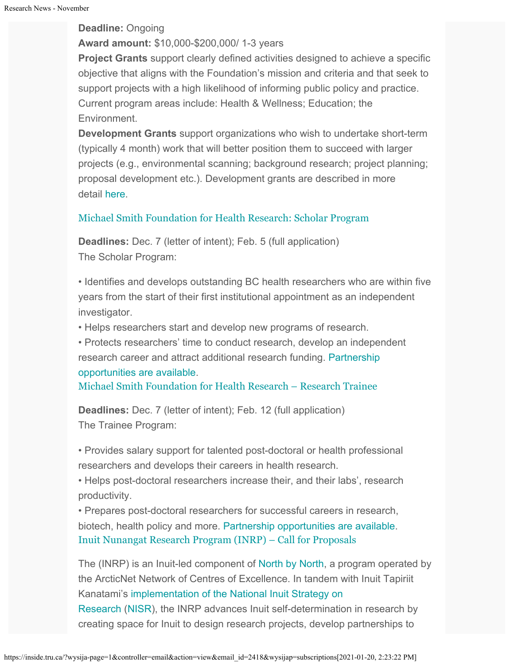#### **Deadline:** Ongoing

### **Award amount:** \$10,000-\$200,000/ 1-3 years

**Project Grants** support clearly defined activities designed to achieve a specific objective that aligns with the Foundation's mission and criteria and that seek to support projects with a high likelihood of informing public policy and practice. Current program areas include: Health & Wellness; Education; the Environment.

**Development Grants** support organizations who wish to undertake short-term (typically 4 month) work that will better position them to succeed with larger projects (e.g., environmental scanning; background research; project planning; proposal development etc.). Development grants are described in more detail [here](https://maxbell.org/our-work/types-programs/).

### [Michael Smith Foundation for Health Research: Scholar Program](https://www.msfhr.org/our-work/activities/scholar-awards)

**Deadlines:** Dec. 7 (letter of intent); Feb. 5 (full application) The Scholar Program:

• Identifies and develops outstanding BC health researchers who are within five years from the start of their first institutional appointment as an independent investigator.

• Helps researchers start and develop new programs of research.

• Protects researchers' time to conduct research, develop an independent research career and attract additional research funding. [Partnership](https://www.msfhr.org/partners/prospective-partners#Scholar) [opportunities are available](https://www.msfhr.org/partners/prospective-partners#Scholar).

[Michael Smith Foundation for Health Research – Research Trainee](https://www.msfhr.org/our-work/activities/trainee-awards%20)

**Deadlines:** Dec. 7 (letter of intent); Feb. 12 (full application) The Trainee Program:

• Provides salary support for talented post-doctoral or health professional researchers and develops their careers in health research.

• Helps post-doctoral researchers increase their, and their labs', research productivity.

• Prepares post-doctoral researchers for successful careers in research, biotech, health policy and more. [Partnership opportunities are available.](https://www.msfhr.org/partners/prospective-partners#Trainee%20awards) [Inuit Nunangat Research Program \(INRP\) – Call for Proposals](https://www.itk.ca/inuit-nunangat-research-program/)

The (INRP) is an Inuit-led component of [North by North](https://arcticnet.ulaval.ca/north-north), a program operated by the ArcticNet Network of Centres of Excellence. In tandem with Inuit Tapiriit Kanatami's [implementation of the National Inuit Strategy on](https://www.itk.ca/national-inuit-strategy-on-research-implementation-plan/) [Research](https://www.itk.ca/national-inuit-strategy-on-research-implementation-plan/) ([NISR\)](https://www.itk.ca/national-strategy-on-research/), the INRP advances Inuit self-determination in research by

creating space for Inuit to design research projects, develop partnerships to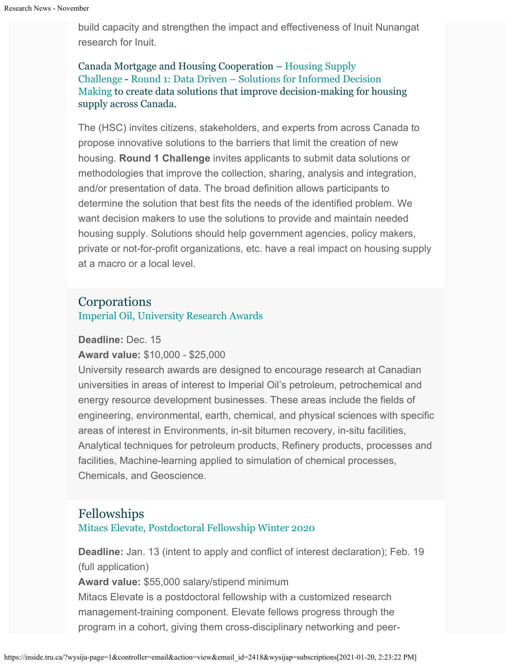build capacity and strengthen the impact and effectiveness of Inuit Nunangat research for Inuit.

Canada Mortgage and Housing Cooperation – [Housing Supply](https://impact.canada.ca/en/challenges/housing-supply-challenge) [Challenge](https://impact.canada.ca/en/challenges/housing-supply-challenge) - [Round 1: Data Driven – Solutions for Informed Decision](https://impact.canada.ca/en/challenges/housing-supply-challenge/process) [Making](https://impact.canada.ca/en/challenges/housing-supply-challenge/process) to create data solutions that improve decision-making for housing supply across Canada.

The (HSC) invites citizens, stakeholders, and experts from across Canada to propose innovative solutions to the barriers that limit the creation of new housing. **Round 1 Challenge** invites applicants to submit data solutions or methodologies that improve the collection, sharing, analysis and integration, and/or presentation of data. The broad definition allows participants to determine the solution that best fits the needs of the identified problem. We want decision makers to use the solutions to provide and maintain needed housing supply. Solutions should help government agencies, policy makers, private or not-for-profit organizations, etc. have a real impact on housing supply at a macro or a local level.

### **Corporations**

[Imperial Oil, University Research Awards](https://www.imperialoil.ca/en-CA/Sustainability/Innovation-and-research/University-Research-Awards#areasOfInterest)

**Deadline:** Dec. 15

**Award value:** \$10,000 - \$25,000

University research awards are designed to encourage research at Canadian universities in areas of interest to Imperial Oil's petroleum, petrochemical and energy resource development businesses. These areas include the fields of engineering, environmental, earth, chemical, and physical sciences with specific areas of interest in Environments, in-sit bitumen recovery, in-situ facilities, Analytical techniques for petroleum products, Refinery products, processes and facilities, Machine-learning applied to simulation of chemical processes, Chemicals, and Geoscience.

### Fellowships

[Mitacs Elevate, Postdoctoral Fellowship Winter 2020](https://www.mitacs.ca/en/programs/elevate#postdoc)

**Deadline:** Jan. 13 (intent to apply and conflict of interest declaration); Feb. 19 (full application)

**Award value:** \$55,000 salary/stipend minimum

Mitacs Elevate is a postdoctoral fellowship with a customized research management-training component. Elevate fellows progress through the program in a cohort, giving them cross-disciplinary networking and peer-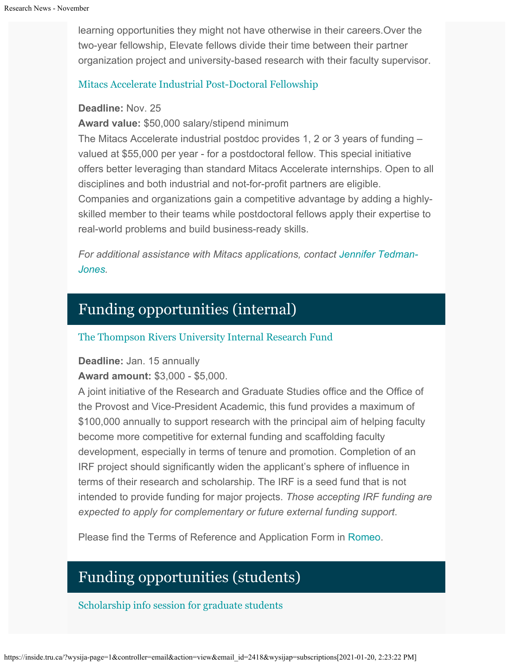learning opportunities they might not have otherwise in their careers.Over the two-year fellowship, Elevate fellows divide their time between their partner organization project and university-based research with their faculty supervisor.

#### [Mitacs Accelerate Industrial Post-Doctoral Fellowship](https://www.mitacs.ca/en/programs/accelerate/industrial-postdoc)

#### **Deadline:** Nov. 25

**Award value:** \$50,000 salary/stipend minimum

The Mitacs Accelerate industrial postdoc provides 1, 2 or 3 years of funding – valued at \$55,000 per year - for a postdoctoral fellow. This special initiative offers better leveraging than standard Mitacs Accelerate internships. Open to all disciplines and both industrial and not-for-profit partners are eligible. Companies and organizations gain a competitive advantage by adding a highlyskilled member to their teams while postdoctoral fellows apply their expertise to real-world problems and build business-ready skills.

*For additional assistance with Mitacs applications, contact [Jennifer Tedman-](mailto:jtedman@mitacs.ca)[Jones](mailto:jtedman@mitacs.ca).*

# Funding opportunities (internal)

#### [The Thompson Rivers University Internal Research Fund](https://tru.ca/research/research-services/research-services-faculty/faculty-research-funding/internal-opportunities.html)

**Deadline:** Jan. 15 annually

**Award amount:** \$3,000 - \$5,000.

A joint initiative of the Research and Graduate Studies office and the Office of the Provost and Vice-President Academic, this fund provides a maximum of \$100,000 annually to support research with the principal aim of helping faculty become more competitive for external funding and scaffolding faculty development, especially in terms of tenure and promotion. Completion of an IRF project should significantly widen the applicant's sphere of influence in terms of their research and scholarship. The IRF is a seed fund that is not intended to provide funding for major projects. *Those accepting IRF funding are expected to apply for complementary or future external funding support*.

Please find the Terms of Reference and Application Form in [Romeo](https://tru.researchservicesoffice.com/Romeo.Researcher/Login.aspx?ReturnUrl=/ROMEO.Researcher/default.aspx).

# Funding opportunities (students)

[Scholarship info session for graduate students](https://inside.tru.ca/Thanks%20to%20Louis%20Gosselin%20and%20Courtney%20Mason%20who%20hosted%20a%20virtual%20information%20session%20for%20TRU%20graduate%20students%20who%20are%20interested%20in%20applying%20for%20this%20opportunity.%20If%20you%20were%20unable%20to%20attend%20this%20session,%20it%20has%20been%20recorded%20and%20made%20available%20on%20Big%20Blue%20Button.%20)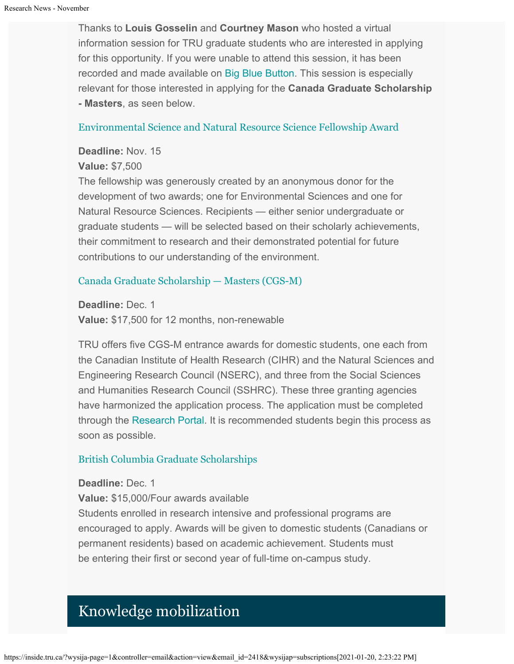Thanks to **Louis Gosselin** and **Courtney Mason** who hosted a virtual information session for TRU graduate students who are interested in applying for this opportunity. If you were unable to attend this session, it has been recorded and made available on [Big Blue Button.](https://bbbscale1.tru.ca/playback/presentation/2.0/playback.html?meetingId=6a1b496a019a850562a2886d14aa39c8a3306d0a-1604004343458) This session is especially relevant for those interested in applying for the **Canada Graduate Scholarship - Masters**, as seen below.

#### [Environmental Science and Natural Resource Science Fellowship Award](https://tru.ca/research/undergraduate-research/undergraduate-research-opportunities.html)

#### **Deadline:** Nov. 15

#### **Value:** \$7,500

The fellowship was generously created by an anonymous donor for the development of two awards; one for Environmental Sciences and one for Natural Resource Sciences. Recipients — either senior undergraduate or graduate students — will be selected based on their scholarly achievements, their commitment to research and their demonstrated potential for future contributions to our understanding of the environment.

#### [Canada Graduate Scholarship — Masters \(CGS-M\)](http://www.nserc-crsng.gc.ca/Students-Etudiants/PG-CS/CGSM-BESCM_eng.asp)

**Deadline:** Dec. 1 **Value:** \$17,500 for 12 months, non-renewable

TRU offers five CGS-M entrance awards for domestic students, one each from the Canadian Institute of Health Research (CIHR) and the Natural Sciences and Engineering Research Council (NSERC), and three from the Social Sciences and Humanities Research Council (SSHRC). These three granting agencies have harmonized the application process. The application must be completed through the [Research Portal](https://portal-portail.nserc-crsng.gc.ca/s/login.aspx). It is recommended students begin this process as soon as possible.

#### [British Columbia Graduate Scholarships](https://www.tru.ca/awards/awards/entrance.html#gradscholar)

#### **Deadline:** Dec. 1

**Value:** \$15,000/Four awards available

Students enrolled in research intensive and professional programs are encouraged to apply. Awards will be given to domestic students (Canadians or permanent residents) based on academic achievement. Students must be entering their first or second year of full-time on-campus study.

# Knowledge mobilization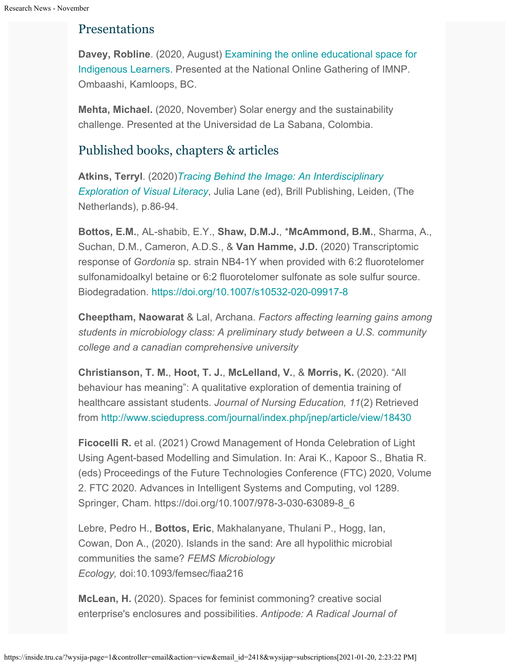# Presentations

**Davey, Robline**. (2020, August) [Examining the online educational space for](https://ombaashi.trubox.ca/conference-information/) [Indigenous Learners](https://ombaashi.trubox.ca/conference-information/). Presented at the National Online Gathering of IMNP. Ombaashi, Kamloops, BC.

**Mehta, Michael.** (2020, November) Solar energy and the sustainability challenge. Presented at the Universidad de La Sabana, Colombia.

# Published books, chapters & articles

**Atkins, Terryl**. (2020)*[Tracing Behind the Image: An Interdisciplinary](https://brill.com/view/title/58662) [Exploration of Visual Literacy](https://brill.com/view/title/58662)*, Julia Lane (ed), Brill Publishing, Leiden, (The Netherlands), p.86-94.

**Bottos, E.M.**, AL-shabib, E.Y., **Shaw, D.M.J.**, \***McAmmond, B.M.**, Sharma, A., Suchan, D.M., Cameron, A.D.S., & **Van Hamme, J.D.** (2020) Transcriptomic response of *Gordonia* sp. strain NB4-1Y when provided with 6:2 fluorotelomer sulfonamidoalkyl betaine or 6:2 fluorotelomer sulfonate as sole sulfur source. Biodegradation. <https://doi.org/10.1007/s10532-020-09917-8>

**Cheeptham, Naowarat** & Lal, Archana. *Factors affecting learning gains among students in microbiology class: A preliminary study between a U.S. community college and a canadian comprehensive university*

**Christianson, T. M.**, **Hoot, T. J.**, **McLelland, V.**, & **Morris, K.** (2020). "All behaviour has meaning": A qualitative exploration of dementia training of healthcare assistant students. *Journal of Nursing Education, 11*(2) Retrieved from <http://www.sciedupress.com/journal/index.php/jnep/article/view/18430>

**Ficocelli R.** et al. (2021) Crowd Management of Honda Celebration of Light Using Agent-based Modelling and Simulation. In: Arai K., Kapoor S., Bhatia R. (eds) Proceedings of the Future Technologies Conference (FTC) 2020, Volume 2. FTC 2020. Advances in Intelligent Systems and Computing, vol 1289. Springer, Cham. https://doi.org/10.1007/978-3-030-63089-8\_6

Lebre, Pedro H., **Bottos, Eric**, Makhalanyane, Thulani P., Hogg, Ian, Cowan, Don A., (2020). Islands in the sand: Are all hypolithic microbial communities the same? *FEMS Microbiology Ecology,* doi:10.1093/femsec/fiaa216

**McLean, H.** (2020). Spaces for feminist commoning? creative social enterprise's enclosures and possibilities. *Antipode: A Radical Journal of*